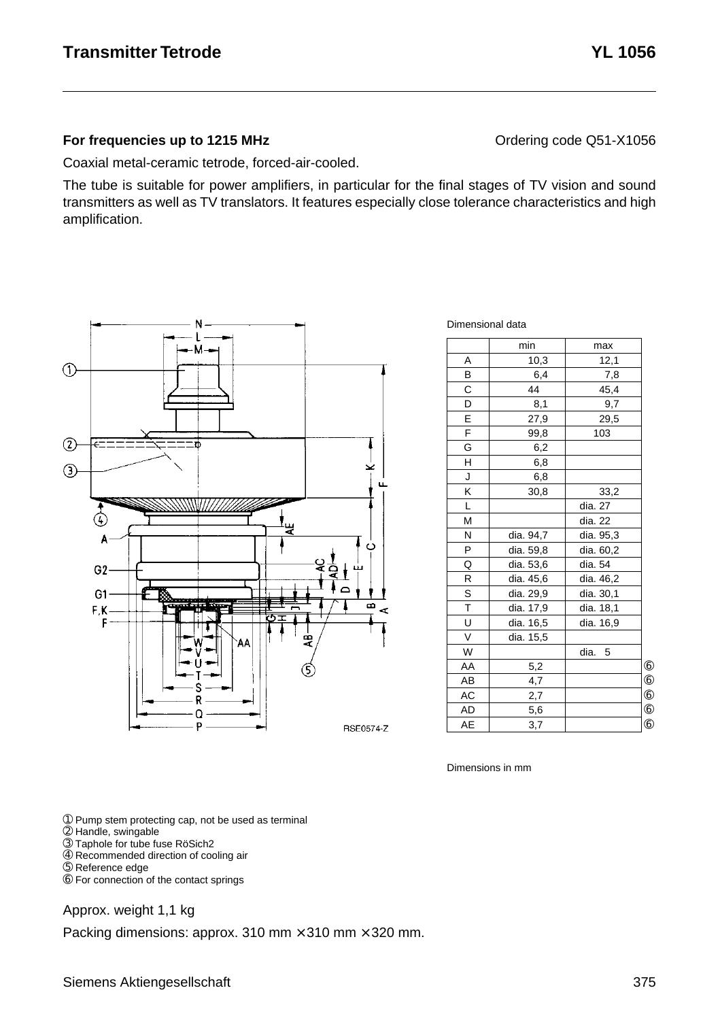#### **For frequencies up to 1215 MHz Contact Contact Contact Contact Contact Contact Contact Contact Contact Contact Contact Contact Contact Contact Contact Contact Contact Contact Contact Contact Contact Contact Contact Cont**

Coaxial metal-ceramic tetrode, forced-air-cooled.

The tube is suitable for power amplifiers, in particular for the final stages of TV vision and sound transmitters as well as TV translators. It features especially close tolerance characteristics and high amplification.



| Dimensional data |  |
|------------------|--|
|                  |  |

|                         | min       | max       |            |
|-------------------------|-----------|-----------|------------|
| A                       | 10,3      | 12,1      |            |
| B                       | 6,4       | 7,8       |            |
| C                       | 44        | 45,4      |            |
| D                       | 8,1       | 9,7       |            |
| E                       | 27,9      | 29,5      |            |
| F                       | 99,8      | 103       |            |
| G                       | 6,2       |           |            |
| H                       | 6,8       |           |            |
| J                       | 6,8       |           |            |
| K                       | 30,8      | 33,2      |            |
| L                       |           | dia. 27   |            |
| M                       |           | dia. 22   |            |
| N                       | dia. 94,7 | dia. 95,3 |            |
| P                       | dia. 59,8 | dia. 60,2 |            |
| Q                       | dia. 53,6 | dia. 54   |            |
| R                       | dia. 45,6 | dia. 46,2 |            |
| S                       | dia. 29,9 | dia. 30,1 |            |
| $\overline{\mathsf{T}}$ | dia. 17,9 | dia. 18,1 |            |
| U                       | dia. 16,5 | dia. 16,9 |            |
| V                       | dia. 15,5 |           |            |
| W                       |           | dia. 5    |            |
| AA                      | 5,2       |           | $6$        |
| AB                      | 4,7       |           | $^{\circ}$ |
| AC                      | 2,7       |           | $^{\circ}$ |
| <b>AD</b>               | 5,6       |           | $^{\circ}$ |
| AE                      | 3,7       |           | (6)        |

Dimensions in mm

➀ Pump stem protecting cap, not be used as terminal

- ➁ Handle, swingable
- ➂ Taphole for tube fuse RöSich2
- ➃ Recommended direction of cooling air
- ➄ Reference edge

➅ For connection of the contact springs

#### Approx. weight 1,1 kg

Packing dimensions: approx. 310 mm  $\times$  310 mm  $\times$  320 mm.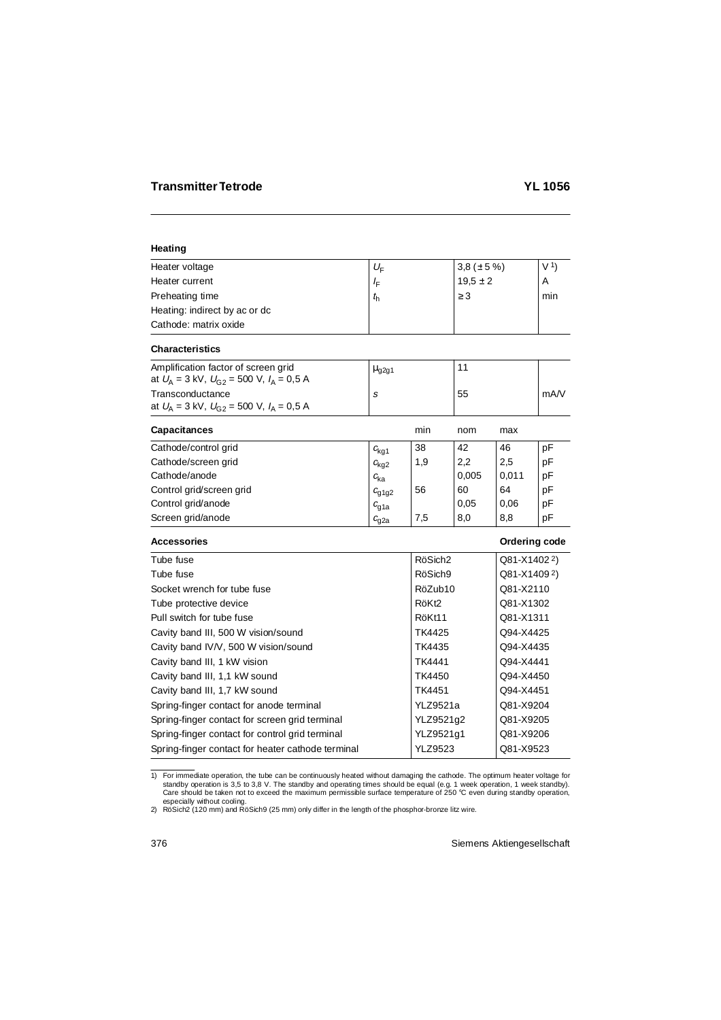# **Heating**

| Heater voltage                | $U_{\rm F}$ | 3,8 ( $\pm$ 5 %) | V <sub>1</sub> |
|-------------------------------|-------------|------------------|----------------|
| Heater current                | ≀F          | $19.5 \pm 2$     | A              |
| Preheating time               | $t_{\rm h}$ | $\geq$ 3         | min            |
| Heating: indirect by ac or dc |             |                  |                |
| Cathode: matrix oxide         |             |                  |                |

## **Characteristics**

| Amplification factor of screen grid<br>at $U_{\rm A} = 3$ kV, $U_{\rm C2} = 500$ V, $I_{\rm A} = 0.5$ A | $\mu$ <sub>g2g1</sub> |    |      |
|---------------------------------------------------------------------------------------------------------|-----------------------|----|------|
| Transconductance<br>at $U_{\rm A} = 3$ kV, $U_{\rm G2} = 500$ V, $I_{\rm A} = 0.5$ A                    |                       | 55 | mA/V |

| <b>Capacitances</b>      |                  | min | nom   | max   |    |
|--------------------------|------------------|-----|-------|-------|----|
| Cathode/control grid     | $c_{\text{kq1}}$ | 38  | 42    | 46    | рF |
| Cathode/screen grid      | $c_{\text{kq2}}$ | 1,9 | 2,2   | 2,5   | pF |
| Cathode/anode            | $c_{\rm ka}$     |     | 0,005 | 0,011 | рF |
| Control grid/screen grid | $c_{q1q2}$       | 56  | 60    | 64    | рF |
| Control grid/anode       | $c_{\rm g1a}$    |     | 0,05  | 0.06  | pF |
| Screen grid/anode        | $c_{\rm g2a}$    | 7,5 | 8,0   | 8,8   | pF |

## **Accessories Contract Contract Contract Contract Contract Contract Contract Contract Contract Contract Contract Contract Contract Contract Contract Contract Contract Contract Contract Contract Contract Contract Contract Co**

| Tube fuse                                         | RöSich <sub>2</sub> | Q81-X1402 <sup>2</sup> ) |
|---------------------------------------------------|---------------------|--------------------------|
| Tube fuse                                         | RöSich9             | Q81-X14092)              |
| Socket wrench for tube fuse                       | RöZub10             | Q81-X2110                |
| Tube protective device                            | RöKt <sub>2</sub>   | Q81-X1302                |
| Pull switch for tube fuse                         | RöKt11              | Q81-X1311                |
| Cavity band III, 500 W vision/sound               | TK4425              | Q94-X4425                |
| Cavity band IV/V, 500 W vision/sound              | TK4435              | Q94-X4435                |
| Cavity band III, 1 kW vision                      | TK4441              | Q94-X4441                |
| Cavity band III, 1,1 kW sound                     | TK4450              | Q94-X4450                |
| Cavity band III, 1,7 kW sound                     | TK4451              | Q94-X4451                |
| Spring-finger contact for anode terminal          | YLZ9521a            | Q81-X9204                |
| Spring-finger contact for screen grid terminal    | YLZ9521q2           | Q81-X9205                |
| Spring-finger contact for control grid terminal   | YLZ9521g1           | Q81-X9206                |
| Spring-finger contact for heater cathode terminal | <b>YLZ9523</b>      | Q81-X9523                |

for immediate operation, the tube can be continuously heated without damaging the cathode. The optimum heater voltage for \$1,8 V. The standby and operating times should be equal (e.g. 1 week operation, 1 week standby). Care should be taken not to exceed the maximum permissible surface temperature of 250 °C even during standby operation, especially without cooling.

<sup>2)</sup> RöSich2 (120 mm) and RöSich9 (25 mm) only differ in the length of the phosphor-bronze litz wire.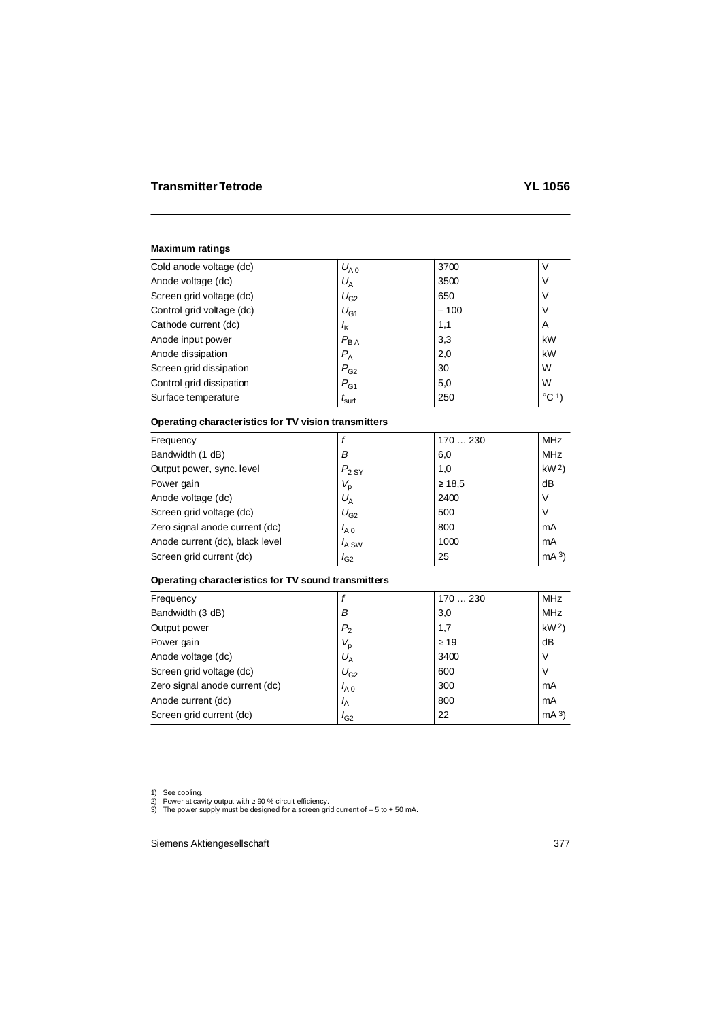| Cold anode voltage (dc)   | $U_{A,0}$         | 3700   | ν               |
|---------------------------|-------------------|--------|-----------------|
| Anode voltage (dc)        | $U_{\rm A}$       | 3500   | ν               |
| Screen grid voltage (dc)  | $U_{G2}$          | 650    | ٧               |
| Control grid voltage (dc) | $U_{G1}$          | $-100$ | ٧               |
| Cathode current (dc)      | $I_{\mathsf{K}}$  | 1,1    | A               |
| Anode input power         | $P_{BA}$          | 3,3    | kW              |
| Anode dissipation         | $P_{\rm A}$       | 2,0    | kW              |
| Screen grid dissipation   | $P_{G2}$          | 30     | W               |
| Control grid dissipation  | $P_{G1}$          | 5,0    | W               |
| Surface temperature       | $t_{\text{surf}}$ | 250    | $^{\circ}$ C 1) |

# **Operating characteristics for TV vision transmitters**

| Frequency                       |                    | 170230      | MHz             |
|---------------------------------|--------------------|-------------|-----------------|
| Bandwidth (1 dB)                | в                  | 6,0         | <b>MHz</b>      |
| Output power, sync. level       | $P_{2\,\text{SY}}$ | 1,0         | kW <sup>2</sup> |
| Power gain                      | $V_{\rm p}$        | $\geq 18.5$ | dB              |
| Anode voltage (dc)              | $U_{\rm A}$        | 2400        | V               |
| Screen grid voltage (dc)        | $U_{G2}$           | 500         | V               |
| Zero signal anode current (dc)  | $I_{A,0}$          | 800         | mA              |
| Anode current (dc), black level | $I_{A}$ SW         | 1000        | mA              |
| Screen grid current (dc)        | $I_{G2}$           | 25          | mA <sup>3</sup> |

# **Operating characteristics for TV sound transmitters**

| Frequency                      |                | 170230    | MHz             |
|--------------------------------|----------------|-----------|-----------------|
| Bandwidth (3 dB)               | В              | 3,0       | <b>MHz</b>      |
| Output power                   | P <sub>2</sub> | 1,7       | kW <sup>2</sup> |
| Power gain                     | $V_{\rm p}$    | $\geq$ 19 | dB              |
| Anode voltage (dc)             | $U_{\rm A}$    | 3400      | V               |
| Screen grid voltage (dc)       | $U_{G2}$       | 600       | ν               |
| Zero signal anode current (dc) | $I_{A,0}$      | 300       | mA              |
| Anode current (dc)             | $I_A$          | 800       | mA              |
| Screen grid current (dc)       | $I_{G2}$       | 22        | mA <sup>3</sup> |

<sup>1)</sup> See cooling.

<sup>2)</sup> Power at cavity output with ≥ 90 % circuit efficiency. 3) The power supply must be designed for a screen grid current of – 5 to + 50 mA.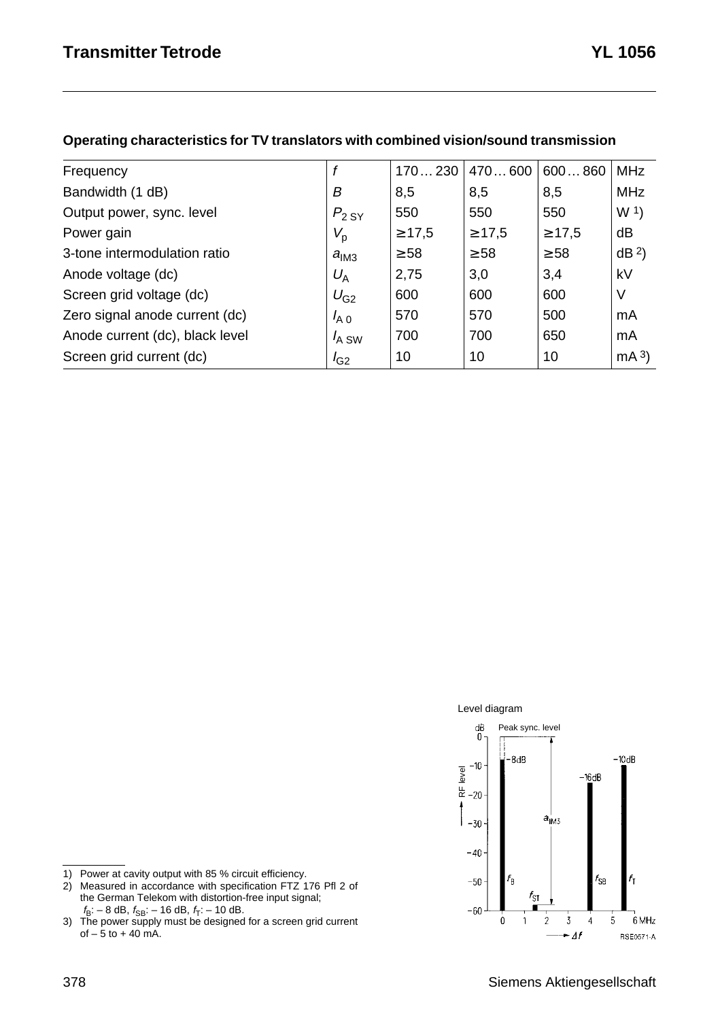| Frequency<br>Bandwidth (1 dB)<br>B<br>Output power, sync. level<br>$P_{2,SY}$ |             |             |             |                 |
|-------------------------------------------------------------------------------|-------------|-------------|-------------|-----------------|
|                                                                               | 170230      | 470600      | 600860      | <b>MHz</b>      |
|                                                                               | 8,5         | 8,5         | 8,5         | <b>MHz</b>      |
|                                                                               | 550         | 550         | 550         | W <sup>1</sup>  |
| Power gain<br>$V_{\sf p}$                                                     | $\geq 17.5$ | $\geq 17.5$ | $\geq 17.5$ | dВ              |
| 3-tone intermodulation ratio<br>a <sub>IM3</sub>                              | $\geq 58$   | $\geq 58$   | $\geq$ 58   | dB <sup>2</sup> |
| $U_{\rm A}$<br>Anode voltage (dc)                                             | 2,75        | 3,0         | 3,4         | kV              |
| Screen grid voltage (dc)<br>$U_{G2}$                                          | 600         | 600         | 600         | V               |
| Zero signal anode current (dc)<br>$I_{A,0}$                                   | 570         | 570         | 500         | mA              |
| Anode current (dc), black level<br>$I_{A}$ SW                                 | 700         | 700         | 650         | mA              |
| Screen grid current (dc)<br>$I_{G2}$                                          | 10          | 10          | 10          | mA <sup>3</sup> |

#### **Operating characteristics for TV translators with combined vision/sound transmission**





1) Power at cavity output with 85 % circuit efficiency.

2) Measured in accordance with specification FTZ 176 Pfl 2 of the German Telekom with distortion-free input signal;

 $f_{\text{B}}$ : – 8 dB,  $f_{\text{SB}}$ : – 16 dB,  $f_{\text{T}}$ : – 10 dB.<br>3) The power supply must be designed for a screen grid current  $of - 5 to + 40 mA$ .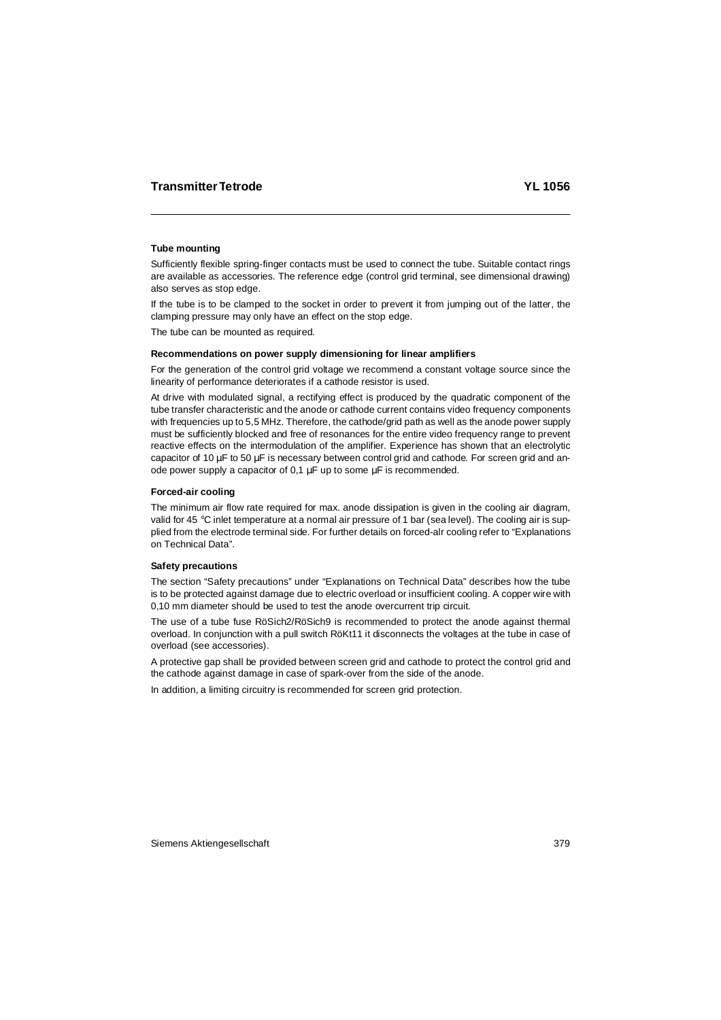# **Tube mounting**

Sufficiently flexible spring-finger contacts must be used to connect the tube. Suitable contact rings are available as accessories. The reference edge (control grid terminal, see dimensional drawing) also serves as stop edge.

If the tube is to be clamped to the socket in order to prevent it from jumping out of the latter, the clamping pressure may only have an effect on the stop edge.

The tube can be mounted as required.

#### **Recommendations on power supply dimensioning for linear amplifiers**

For the generation of the control grid voltage we recommend a constant voltage source since the linearity of performance deteriorates if a cathode resistor is used.

At drive with modulated signal, a rectifying effect is produced by the quadratic component of the tube transfer characteristic and the anode or cathode current contains video frequency components with frequencies up to 5,5 MHz. Therefore, the cathode/grid path as well as the anode power supply must be sufficiently blocked and free of resonances for the entire video frequency range to prevent reactive effects on the intermodulation of the amplifier. Experience has shown that an electrolytic capacitor of 10  $\mu$ F to 50  $\mu$ F is necessary between control grid and cathode. For screen grid and anode power supply a capacitor of 0,1 µF up to some µF is recommended.

## **Forced-air cooling**

The minimum air flow rate required for max. anode dissipation is given in the cooling air diagram, valid for 45 °C inlet temperature at a normal air pressure of 1 bar (sea level). The cooling air is supplied from the electrode terminal side. For further details on forced-alr cooling refer to "Explanations on Technical Data".

## **Safety precautions**

The section "Safety precautions" under "Explanations on Technical Data" describes how the tube is to be protected against damage due to electric overload or insufficient cooling. A copper wire with 0,10 mm diameter should be used to test the anode overcurrent trip circuit.

The use of a tube fuse RöSich2/RöSich9 is recommended to protect the anode against thermal overload. In conjunction with a pull switch RöKt11 it disconnects the voltages at the tube in case of overload (see accessories).

A protective gap shall be provided between screen grid and cathode to protect the control grid and the cathode against damage in case of spark-over from the side of the anode.

In addition, a limiting circuitry is recommended for screen grid protection.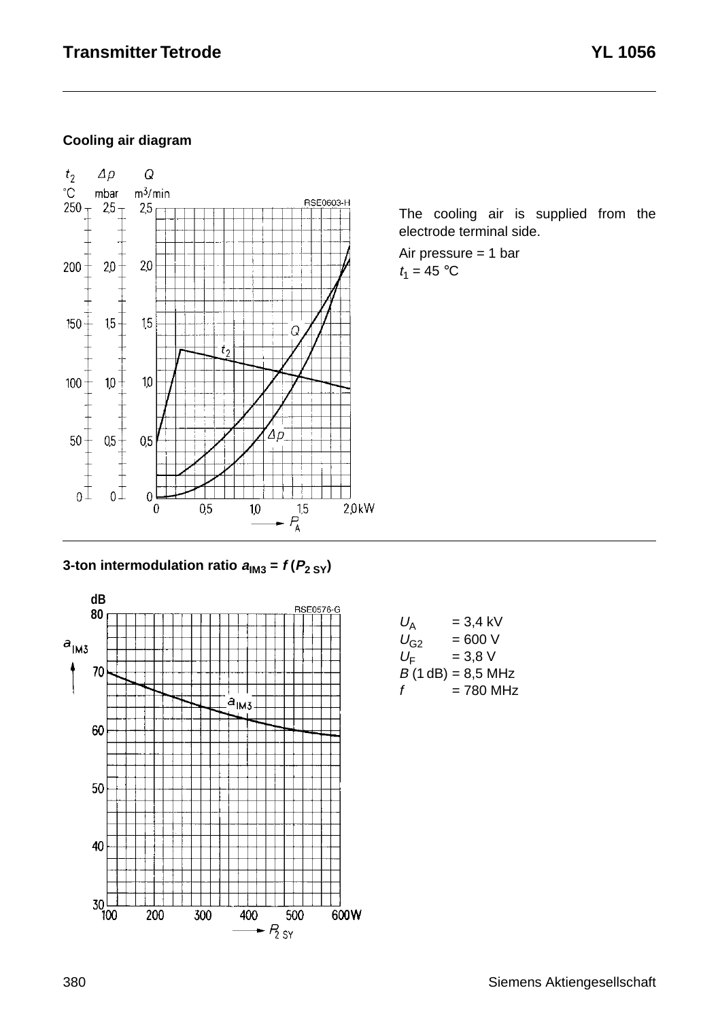# **Cooling air diagram**



The cooling air is supplied from the electrode terminal side.

Air pressure = 1 bar  $t_1 = 45$  °C





| $U_{\rm A}$ | $= 3.4$ kV          |
|-------------|---------------------|
| $U_{G2}$    | $= 600 V$           |
| $U_{\rm F}$ | $= 3.8 V$           |
|             | $B(1 dB) = 8.5 MHz$ |
| f           | = 780 MHz           |